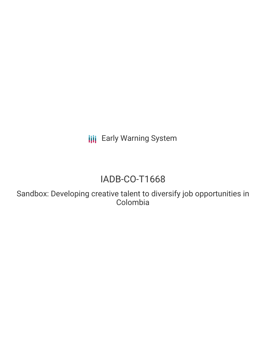**III** Early Warning System

# IADB-CO-T1668

Sandbox: Developing creative talent to diversify job opportunities in Colombia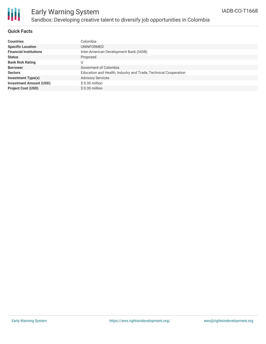

# Early Warning System Sandbox: Developing creative talent to diversify job opportunities in Colombia

### **Quick Facts**

| <b>Countries</b>               | Colombia                                                        |
|--------------------------------|-----------------------------------------------------------------|
| <b>Specific Location</b>       | UNINFORMED                                                      |
| <b>Financial Institutions</b>  | Inter-American Development Bank (IADB)                          |
| <b>Status</b>                  | Proposed                                                        |
| <b>Bank Risk Rating</b>        | U                                                               |
| <b>Borrower</b>                | Goverment of Colombia                                           |
| <b>Sectors</b>                 | Education and Health, Industry and Trade, Technical Cooperation |
| <b>Investment Type(s)</b>      | <b>Advisory Services</b>                                        |
| <b>Investment Amount (USD)</b> | \$0.30 million                                                  |
| <b>Project Cost (USD)</b>      | $$0.30$ million                                                 |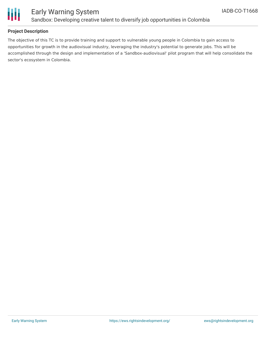

## Early Warning System Sandbox: Developing creative talent to diversify job opportunities in Colombia

### **Project Description**

The objective of this TC is to provide training and support to vulnerable young people in Colombia to gain access to opportunities for growth in the audiovisual industry, leveraging the industry's potential to generate jobs. This will be accomplished through the design and implementation of a 'Sandbox-audiovisual' pilot program that will help consolidate the sector's ecosystem in Colombia.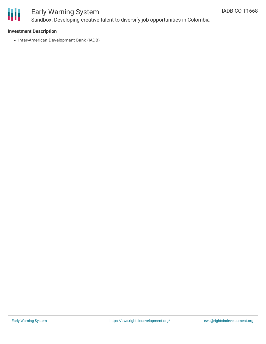

# Early Warning System Sandbox: Developing creative talent to diversify job opportunities in Colombia

### **Investment Description**

• Inter-American Development Bank (IADB)